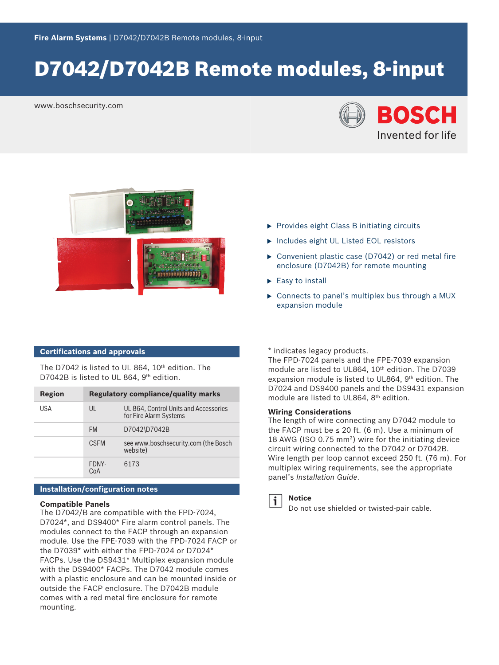# D7042/D7042B Remote modules, 8-input

www.boschsecurity.com





#### **Certifications and approvals**

The D7042 is listed to UL 864, 10<sup>th</sup> edition. The D7042B is listed to UL 864, 9<sup>th</sup> edition.

| <b>Region</b> | <b>Regulatory compliance/quality marks</b> |                                                                 |
|---------------|--------------------------------------------|-----------------------------------------------------------------|
| USA           | $\mathsf{U}$                               | UL 864, Control Units and Accessories<br>for Fire Alarm Systems |
|               | <b>FM</b>                                  | D7042\D7042B                                                    |
|               | <b>CSEM</b>                                | see www.boschsecurity.com (the Bosch<br>website)                |
|               | FDNY-<br>CoA                               | 6173                                                            |

#### **Installation/configuration notes**

#### **Compatible Panels**

The D7042/B are compatible with the FPD-7024, D7024\*, and DS9400\* Fire alarm control panels. The modules connect to the FACP through an expansion module. Use the FPE‑7039 with the FPD-7024 FACP or the D7039\* with either the FPD‑7024 or D7024\* FACPs. Use the DS9431\* Multiplex expansion module with the DS9400\* FACPs. The D7042 module comes with a plastic enclosure and can be mounted inside or outside the FACP enclosure. The D7042B module comes with a red metal fire enclosure for remote mounting.

- $\triangleright$  Provides eight Class B initiating circuits
- **Includes eight UL Listed EOL resistors**
- $\triangleright$  Convenient plastic case (D7042) or red metal fire enclosure (D7042B) for remote mounting
- $\blacktriangleright$  Easy to install
- $\triangleright$  Connects to panel's multiplex bus through a MUX expansion module

\* indicates legacy products.

The FPD-7024 panels and the FPE-7039 expansion module are listed to UL864, 10<sup>th</sup> edition. The D7039 expansion module is listed to UL864, 9th edition. The D7024 and DS9400 panels and the DS9431 expansion module are listed to UL864, 8th edition.

#### **Wiring Considerations**

The length of wire connecting any D7042 module to the FACP must be  $\leq 20$  ft. (6 m). Use a minimum of 18 AWG (ISO 0.75 mm<sup>2</sup> ) wire for the initiating device circuit wiring connected to the D7042 or D7042B. Wire length per loop cannot exceed 250 ft. (76 m). For multiplex wiring requirements, see the appropriate panel's *Installation Guide*.



#### **Notice**

Do not use shielded or twisted-pair cable.